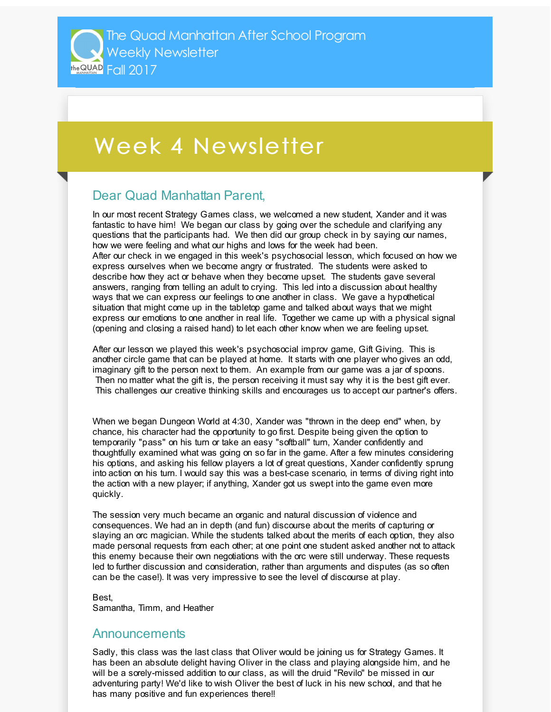## Week 4 Newsletter

## Dear Quad Manhattan Parent,

In our most recent Strategy Games class, we welcomed a new student, Xander and it was fantastic to have him! We began our class by going over the schedule and clarifying any questions that the participants had. We then did our group check in by saying our names, how we were feeling and what our highs and lows for the week had been. After our check in we engaged in this week's psychosocial lesson, which focused on how we express ourselves when we become angry or frustrated. The students were asked to describe how they act or behave when they become upset. The students gave several answers, ranging from telling an adult to crying. This led into a discussion about healthy ways that we can express our feelings to one another in class. We gave a hypothetical situation that might come up in the tabletop game and talked about ways that we might express our emotions to one another in real life. Together we came up with a physical signal (opening and closing a raised hand) to let each other know when we are feeling upset.

After our lesson we played this week's psychosocial improv game, Gift Giving. This is another circle game that can be played at home. It starts with one player who gives an odd, imaginary gift to the person next to them. An example from our game was a jar of spoons. Then no matter what the gift is, the person receiving it must say why it is the best gift ever. This challenges our creative thinking skills and encourages us to accept our partner's offers.

When we began Dungeon World at 4:30, Xander was "thrown in the deep end" when, by chance, his character had the opportunity to go first. Despite being given the option to temporarily "pass" on his turn or take an easy "softball" turn, Xander confidently and thoughtfully examined what was going on so far in the game. After a few minutes considering his options, and asking his fellow players a lot of great questions, Xander confidently sprung into action on his turn. I would say this was a best-case scenario, in terms of diving right into the action with a new player; if anything, Xander got us swept into the game even more quickly.

The session very much became an organic and natural discussion of violence and consequences. We had an in depth (and fun) discourse about the merits of capturing or slaying an orc magician. While the students talked about the merits of each option, they also made personal requests from each other; at one point one student asked another not to attack this enemy because their own negotiations with the orc were still underway. These requests led to further discussion and consideration, rather than arguments and disputes (as so often can be the case!). It was very impressive to see the level of discourse at play.

Best, Samantha, Timm, and Heather

## **Announcements**

Sadly, this class was the last class that Oliver would be joining us for Strategy Games. It has been an absolute delight having Oliver in the class and playing alongside him, and he will be a sorely-missed addition to our class, as will the druid "Revilo" be missed in our adventuring party! We'd like to wish Oliver the best of luck in his new school, and that he has many positive and fun experiences there!!